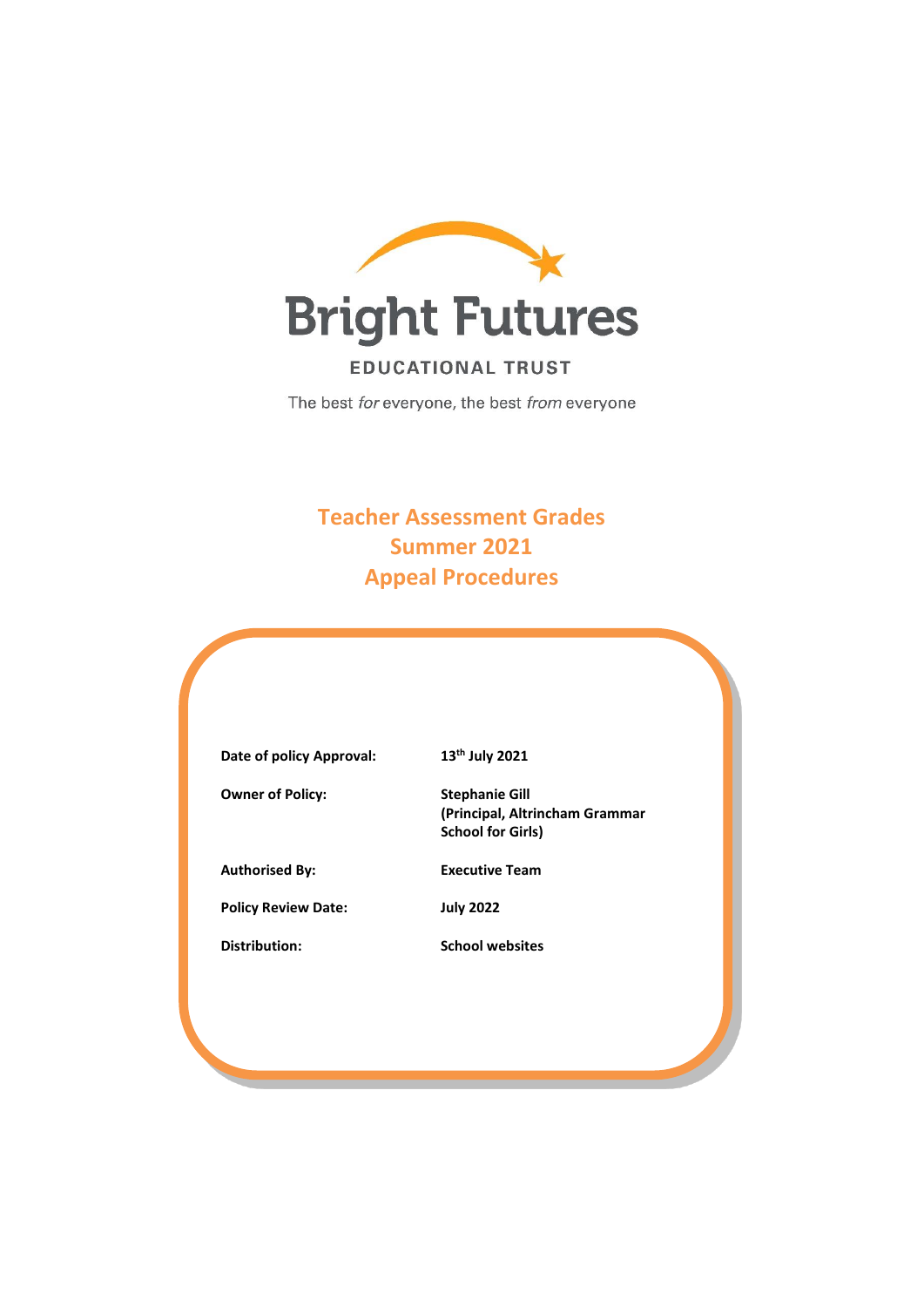

The best for everyone, the best from everyone

# **Teacher Assessment Grades Summer 2021 Appeal Procedures**

| 13 <sup>th</sup> July 2021                                                          |
|-------------------------------------------------------------------------------------|
| <b>Stephanie Gill</b><br>(Principal, Altrincham Grammar<br><b>School for Girls)</b> |
| <b>Executive Team</b>                                                               |
| <b>July 2022</b>                                                                    |
| <b>School websites</b>                                                              |
|                                                                                     |
|                                                                                     |
|                                                                                     |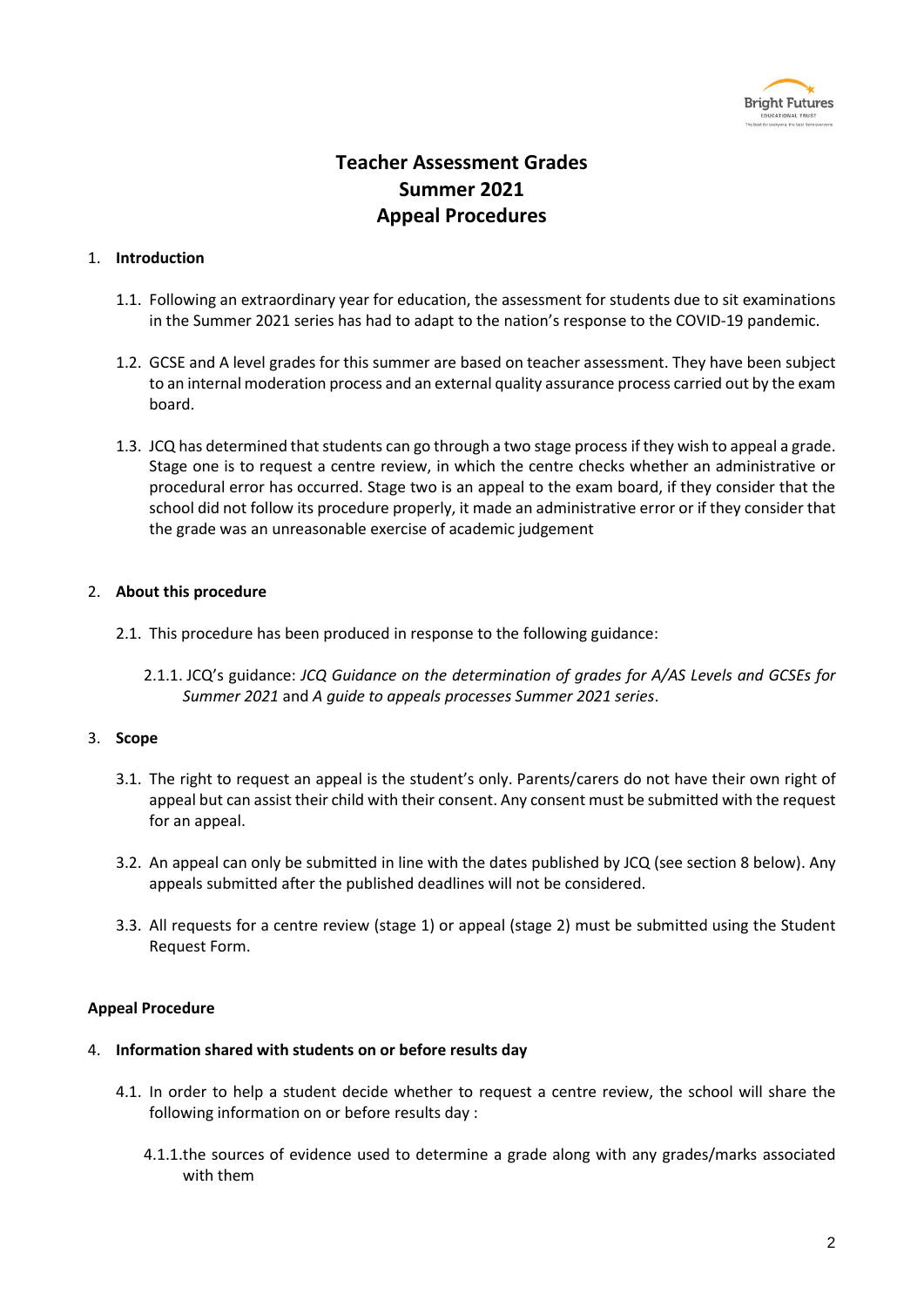

## **Teacher Assessment Grades Summer 2021 Appeal Procedures**

## 1. **Introduction**

- 1.1. Following an extraordinary year for education, the assessment for students due to sit examinations in the Summer 2021 series has had to adapt to the nation's response to the COVID-19 pandemic.
- 1.2. GCSE and A level grades for this summer are based on teacher assessment. They have been subject to an internal moderation process and an external quality assurance process carried out by the exam board.
- 1.3. JCQ has determined that students can go through a two stage process if they wish to appeal a grade. Stage one is to request a centre review, in which the centre checks whether an administrative or procedural error has occurred. Stage two is an appeal to the exam board, if they consider that the school did not follow its procedure properly, it made an administrative error or if they consider that the grade was an unreasonable exercise of academic judgement

## 2. **About this procedure**

- 2.1. This procedure has been produced in response to the following guidance:
	- 2.1.1. JCQ's guidance: *JCQ Guidance on the determination of grades for A/AS Levels and GCSEs for Summer 2021* and *A guide to appeals processes Summer 2021 series*.

## 3. **Scope**

- 3.1. The right to request an appeal is the student's only. Parents/carers do not have their own right of appeal but can assist their child with their consent. Any consent must be submitted with the request for an appeal.
- 3.2. An appeal can only be submitted in line with the dates published by JCQ (see section 8 below). Any appeals submitted after the published deadlines will not be considered.
- 3.3. All requests for a centre review (stage 1) or appeal (stage 2) must be submitted using the Student Request Form.

## **Appeal Procedure**

## 4. **Information shared with students on or before results day**

- 4.1. In order to help a student decide whether to request a centre review, the school will share the following information on or before results day :
	- 4.1.1.the sources of evidence used to determine a grade along with any grades/marks associated with them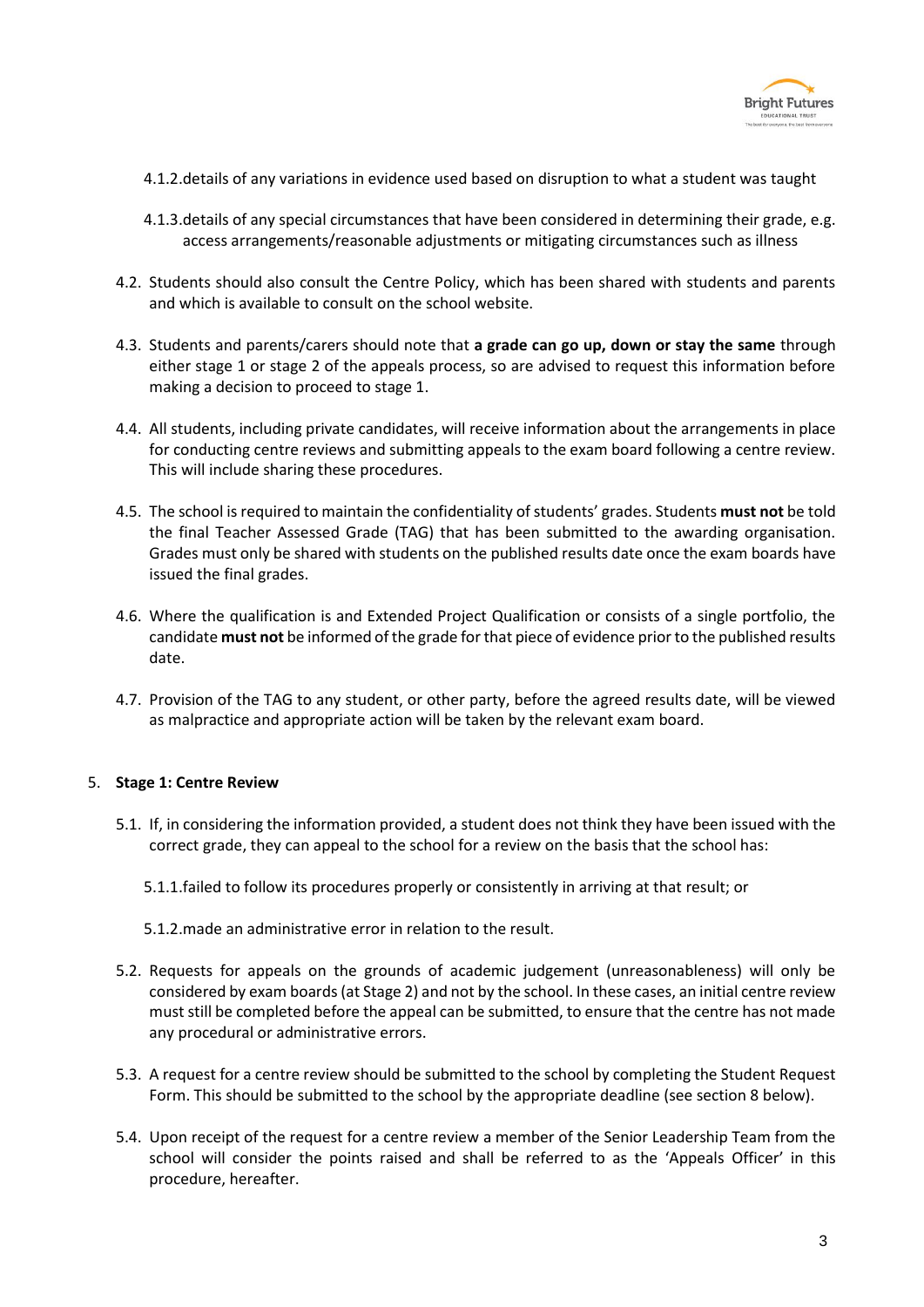

- 4.1.2.details of any variations in evidence used based on disruption to what a student was taught
- 4.1.3.details of any special circumstances that have been considered in determining their grade, e.g. access arrangements/reasonable adjustments or mitigating circumstances such as illness
- 4.2. Students should also consult the Centre Policy, which has been shared with students and parents and which is available to consult on the school website.
- 4.3. Students and parents/carers should note that **a grade can go up, down or stay the same** through either stage 1 or stage 2 of the appeals process, so are advised to request this information before making a decision to proceed to stage 1.
- 4.4. All students, including private candidates, will receive information about the arrangements in place for conducting centre reviews and submitting appeals to the exam board following a centre review. This will include sharing these procedures.
- 4.5. The school is required to maintain the confidentiality of students' grades. Students **must not** be told the final Teacher Assessed Grade (TAG) that has been submitted to the awarding organisation. Grades must only be shared with students on the published results date once the exam boards have issued the final grades.
- 4.6. Where the qualification is and Extended Project Qualification or consists of a single portfolio, the candidate **must not** be informed of the grade for that piece of evidence prior to the published results date.
- 4.7. Provision of the TAG to any student, or other party, before the agreed results date, will be viewed as malpractice and appropriate action will be taken by the relevant exam board.

## 5. **Stage 1: Centre Review**

- 5.1. If, in considering the information provided, a student does not think they have been issued with the correct grade, they can appeal to the school for a review on the basis that the school has:
	- 5.1.1.failed to follow its procedures properly or consistently in arriving at that result; or
	- 5.1.2.made an administrative error in relation to the result.
- 5.2. Requests for appeals on the grounds of academic judgement (unreasonableness) will only be considered by exam boards (at Stage 2) and not by the school. In these cases, an initial centre review must still be completed before the appeal can be submitted, to ensure that the centre has not made any procedural or administrative errors.
- 5.3. A request for a centre review should be submitted to the school by completing the Student Request Form. This should be submitted to the school by the appropriate deadline (see section 8 below).
- 5.4. Upon receipt of the request for a centre review a member of the Senior Leadership Team from the school will consider the points raised and shall be referred to as the 'Appeals Officer' in this procedure, hereafter.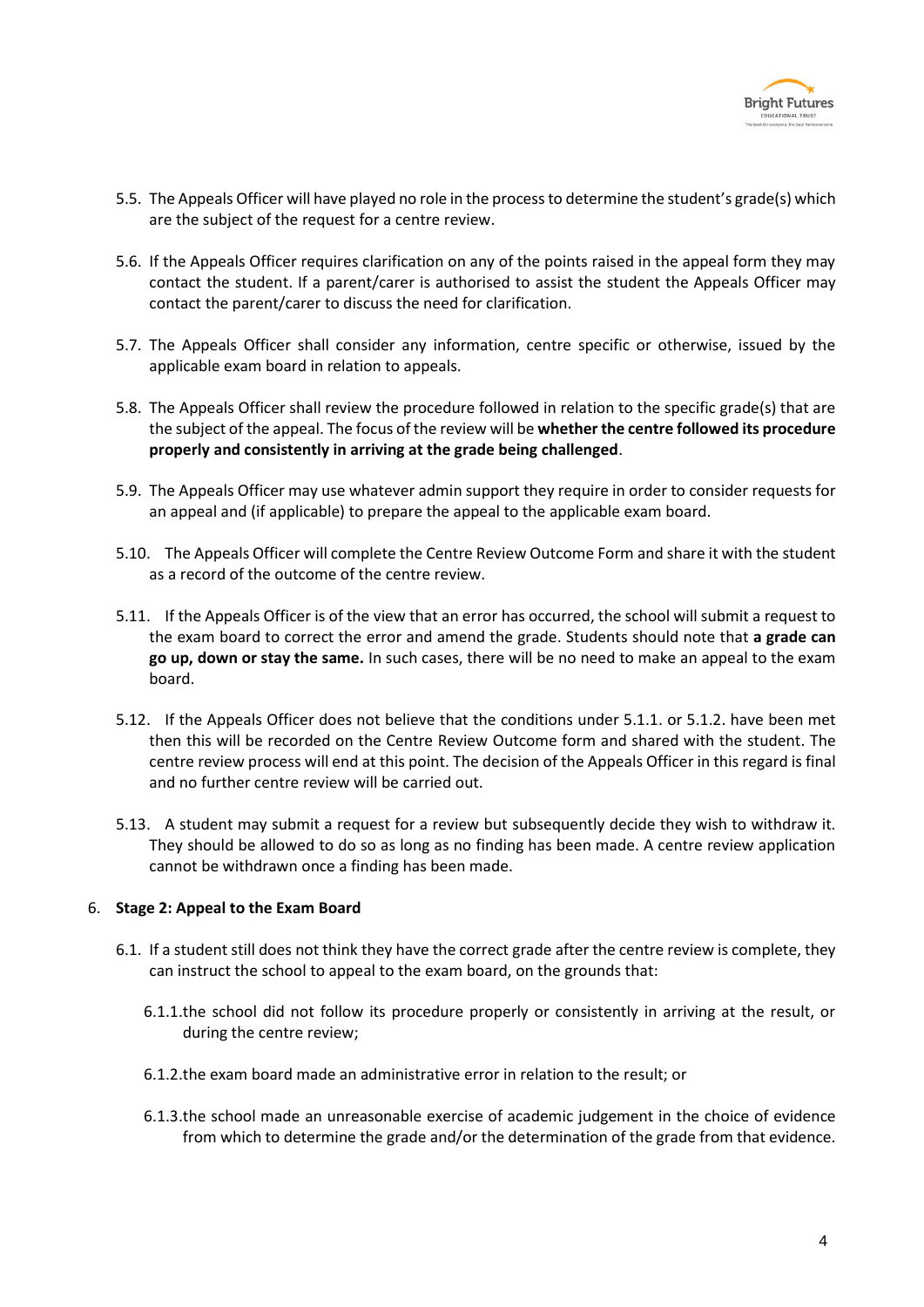

- 5.5. The Appeals Officer will have played no role in the process to determine the student's grade(s) which are the subject of the request for a centre review.
- 5.6. If the Appeals Officer requires clarification on any of the points raised in the appeal form they may contact the student. If a parent/carer is authorised to assist the student the Appeals Officer may contact the parent/carer to discuss the need for clarification.
- 5.7. The Appeals Officer shall consider any information, centre specific or otherwise, issued by the applicable exam board in relation to appeals.
- 5.8. The Appeals Officer shall review the procedure followed in relation to the specific grade(s) that are the subject of the appeal. The focus of the review will be **whether the centre followed its procedure properly and consistently in arriving at the grade being challenged**.
- 5.9. The Appeals Officer may use whatever admin support they require in order to consider requests for an appeal and (if applicable) to prepare the appeal to the applicable exam board.
- 5.10. The Appeals Officer will complete the Centre Review Outcome Form and share it with the student as a record of the outcome of the centre review.
- 5.11. If the Appeals Officer is of the view that an error has occurred, the school will submit a request to the exam board to correct the error and amend the grade. Students should note that **a grade can go up, down or stay the same.** In such cases, there will be no need to make an appeal to the exam board.
- 5.12. If the Appeals Officer does not believe that the conditions under 5.1.1. or 5.1.2. have been met then this will be recorded on the Centre Review Outcome form and shared with the student. The centre review process will end at this point. The decision of the Appeals Officer in this regard is final and no further centre review will be carried out.
- 5.13. A student may submit a request for a review but subsequently decide they wish to withdraw it. They should be allowed to do so as long as no finding has been made. A centre review application cannot be withdrawn once a finding has been made.

## 6. **Stage 2: Appeal to the Exam Board**

- 6.1. If a student still does not think they have the correct grade after the centre review is complete, they can instruct the school to appeal to the exam board, on the grounds that:
	- 6.1.1.the school did not follow its procedure properly or consistently in arriving at the result, or during the centre review;
	- 6.1.2.the exam board made an administrative error in relation to the result; or
	- 6.1.3.the school made an unreasonable exercise of academic judgement in the choice of evidence from which to determine the grade and/or the determination of the grade from that evidence.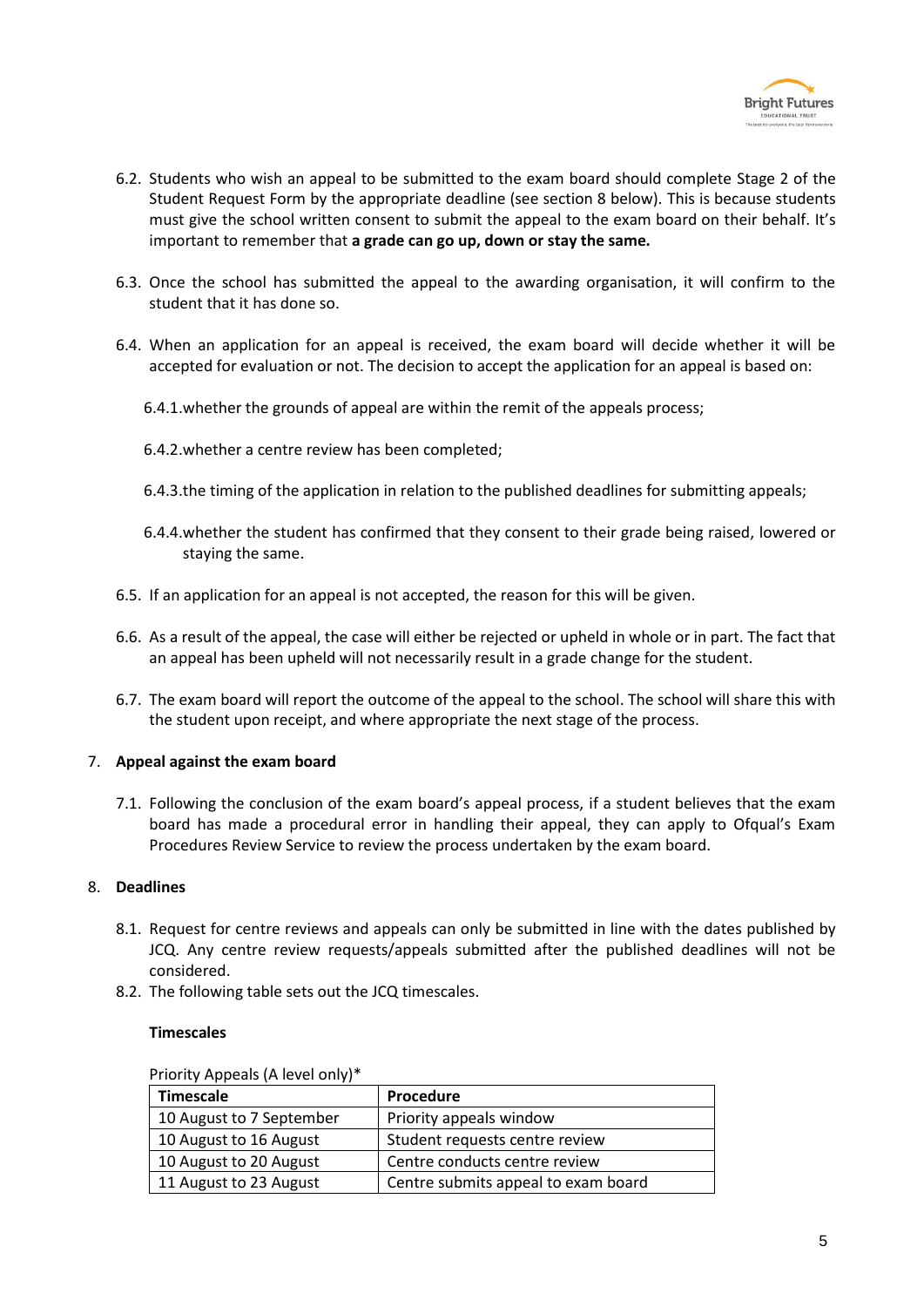

- 6.2. Students who wish an appeal to be submitted to the exam board should complete Stage 2 of the Student Request Form by the appropriate deadline (see section 8 below). This is because students must give the school written consent to submit the appeal to the exam board on their behalf. It's important to remember that **a grade can go up, down or stay the same.**
- 6.3. Once the school has submitted the appeal to the awarding organisation, it will confirm to the student that it has done so.
- 6.4. When an application for an appeal is received, the exam board will decide whether it will be accepted for evaluation or not. The decision to accept the application for an appeal is based on:
	- 6.4.1.whether the grounds of appeal are within the remit of the appeals process;
	- 6.4.2.whether a centre review has been completed;
	- 6.4.3.the timing of the application in relation to the published deadlines for submitting appeals;
	- 6.4.4.whether the student has confirmed that they consent to their grade being raised, lowered or staying the same.
- 6.5. If an application for an appeal is not accepted, the reason for this will be given.
- 6.6. As a result of the appeal, the case will either be rejected or upheld in whole or in part. The fact that an appeal has been upheld will not necessarily result in a grade change for the student.
- 6.7. The exam board will report the outcome of the appeal to the school. The school will share this with the student upon receipt, and where appropriate the next stage of the process.

## 7. **Appeal against the exam board**

7.1. Following the conclusion of the exam board's appeal process, if a student believes that the exam board has made a procedural error in handling their appeal, they can apply to Ofqual's Exam Procedures Review Service to review the process undertaken by the exam board.

## 8. **Deadlines**

- 8.1. Request for centre reviews and appeals can only be submitted in line with the dates published by JCQ. Any centre review requests/appeals submitted after the published deadlines will not be considered.
- 8.2. The following table sets out the JCQ timescales.

#### **Timescales**

| <b>THOTLY Appears (A ICVCI OIIIY)</b> |                                     |
|---------------------------------------|-------------------------------------|
| <b>Timescale</b>                      | Procedure                           |
| 10 August to 7 September              | Priority appeals window             |
| 10 August to 16 August                | Student requests centre review      |
| 10 August to 20 August                | Centre conducts centre review       |
| 11 August to 23 August                | Centre submits appeal to exam board |

Priority Appeals (A level only)\*